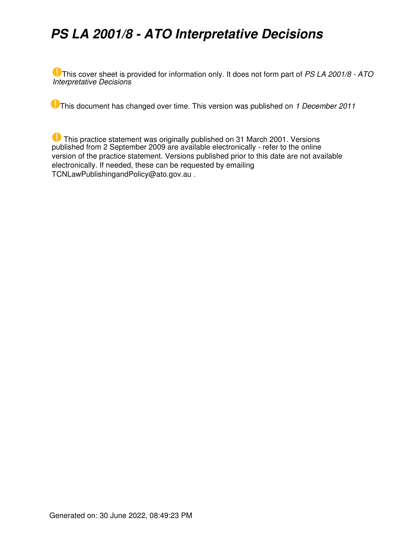# *PS LA 2001/8 - ATO Interpretative Decisions*

This cover sheet is provided for information only. It does not form part of *PS LA 2001/8 - ATO Interpretative Decisions*

This document has changed over time. This version was published on *1 December 2011*

 This practice statement was originally published on 31 March 2001. Versions published from 2 September 2009 are available electronically - refer to the online version of the practice statement. Versions published prior to this date are not available electronically. If needed, these can be requested by emailing TCNLawPublishingandPolicy@ato.gov.au .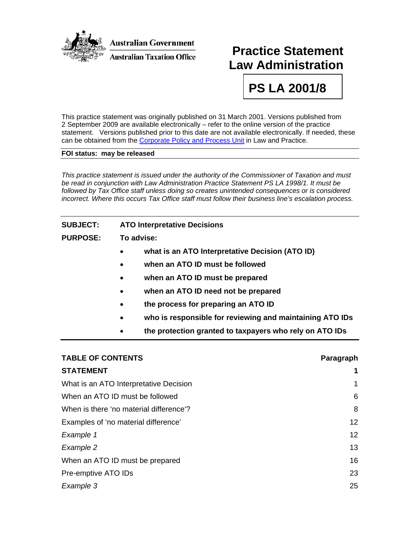

## **Practice Statement Law Administration**

**PS LA 2001/8** 

This practice statement was originally published on 31 March 2001. Versions published from 2 September 2009 are available electronically – refer to the online version of the practice statement. Versions published prior to this date are not available electronically. If needed, these can be obtained from the [Corporate Policy and Process Unit](mailto:LPSMaintenanceandSupport@ato.gov.au) in Law and Practice.

#### **FOI status: may be released**

*This practice statement is issued under the authority of the Commissioner of Taxation and must be read in conjunction with Law Administration Practice Statement PS LA 1998/1. It must be followed by Tax Office staff unless doing so creates unintended consequences or is considered incorrect. Where this occurs Tax Office staff must follow their business line's escalation process.* 

#### **SUBJECT: ATO Interpretative Decisions**

**PURPOSE: To advise:** 

- **what is an ATO Interpretative Decision (ATO ID)**
- **when an ATO ID must be followed**
- **when an ATO ID must be prepared**
- **when an ATO ID need not be prepared**
- **the process for preparing an ATO ID**
- **who is responsible for reviewing and maintaining ATO IDs**
- **the protection granted to taxpayers who rely on ATO IDs**

| <b>TABLE OF CONTENTS</b>                | Paragraph |
|-----------------------------------------|-----------|
| <b>STATEMENT</b>                        | 1         |
| What is an ATO Interpretative Decision  | 1         |
| When an ATO ID must be followed         | 6         |
| When is there 'no material difference'? | 8         |
| Examples of 'no material difference'    | 12        |
| Example 1                               | 12        |
| Example 2                               | 13        |
| When an ATO ID must be prepared         | 16        |
| Pre-emptive ATO IDs                     | 23        |
| Example 3                               | 25        |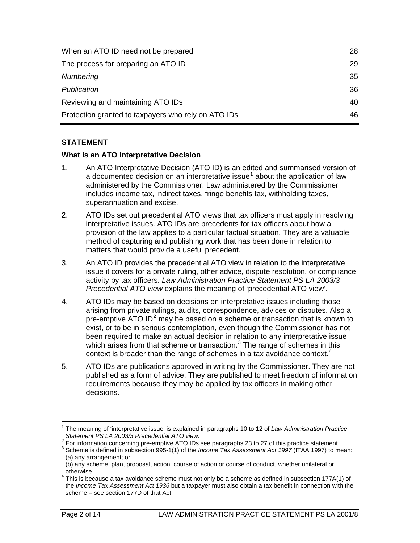| When an ATO ID need not be prepared                 | 28 |
|-----------------------------------------------------|----|
| The process for preparing an ATO ID                 | 29 |
| Numbering                                           | 35 |
| Publication                                         | 36 |
| Reviewing and maintaining ATO IDs                   | 40 |
| Protection granted to taxpayers who rely on ATO IDs | 46 |

## **STATEMENT**

#### **What is an ATO Interpretative Decision**

- 1. An ATO Interpretative Decision (ATO ID) is an edited and summarised version of a documented decision on an interpretative issue<sup>[1](#page-2-0)</sup> about the application of law administered by the Commissioner. Law administered by the Commissioner includes income tax, indirect taxes, fringe benefits tax, withholding taxes, superannuation and excise.
- 2. ATO IDs set out precedential ATO views that tax officers must apply in resolving interpretative issues. ATO IDs are precedents for tax officers about how a provision of the law applies to a particular factual situation. They are a valuable method of capturing and publishing work that has been done in relation to matters that would provide a useful precedent.
- 3. An ATO ID provides the precedential ATO view in relation to the interpretative issue it covers for a private ruling, other advice, dispute resolution, or compliance activity by tax officers. *Law Administration Practice Statement PS LA 2003/3 Precedential ATO view* explains the meaning of 'precedential ATO view'.
- 4. ATO IDs may be based on decisions on interpretative issues including those arising from private rulings, audits, correspondence, advices or disputes. Also a pre-emptive ATO ID<sup>[2](#page-2-1)</sup> may be based on a scheme or transaction that is known to exist, or to be in serious contemplation, even though the Commissioner has not been required to make an actual decision in relation to any interpretative issue which arises from that scheme or transaction. $3$  The range of schemes in this context is broader than the range of schemes in a tax avoidance context.<sup>[4](#page-2-3)</sup>
- 5. ATO IDs are publications approved in writing by the Commissioner. They are not published as a form of advice. They are published to meet freedom of information requirements because they may be applied by tax officers in making other decisions.

<span id="page-2-0"></span> $\overline{a}$ 1 The meaning of 'interpretative issue' is explained in paragraphs 10 to 12 of *Law Administration Practice Statement PS LA 2003/3 Precedential ATO view.* 

<sup>&</sup>lt;sup>2</sup> For information concerning pre-emptive ATO IDs see paragraphs 23 to 27 of this practice statement.<br><sup>3</sup> Schame is defined in exhanging 005,4(4) of the Income Tay Associated 4st 4007 (ITAA 4007) to m

<span id="page-2-2"></span><span id="page-2-1"></span><sup>&</sup>lt;sup>3</sup> Scheme is defined in subsection 995-1(1) of the *Income Tax Assessment Act 1997* (ITAA 1997) to mean: (a) any arrangement; or

<sup>(</sup>b) any scheme, plan, proposal, action, course of action or course of conduct, whether unilateral or otherwise.

<span id="page-2-3"></span> $4$  This is because a tax avoidance scheme must not only be a scheme as defined in subsection 177A(1) of the *Income Tax Assessment Act 1936* but a taxpayer must also obtain a tax benefit in connection with the scheme – see section 177D of that Act.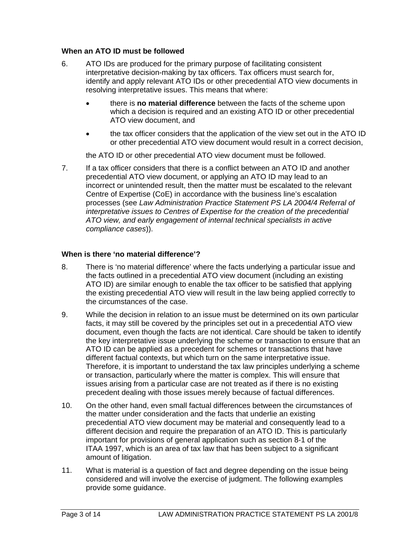#### **When an ATO ID must be followed**

- 6. ATO IDs are produced for the primary purpose of facilitating consistent interpretative decision-making by tax officers. Tax officers must search for, identify and apply relevant ATO IDs or other precedential ATO view documents in resolving interpretative issues. This means that where:
	- there is **no material difference** between the facts of the scheme upon which a decision is required and an existing ATO ID or other precedential ATO view document, and
	- the tax officer considers that the application of the view set out in the ATO ID or other precedential ATO view document would result in a correct decision,

the ATO ID or other precedential ATO view document must be followed.

7. If a tax officer considers that there is a conflict between an ATO ID and another precedential ATO view document, or applying an ATO ID may lead to an incorrect or unintended result, then the matter must be escalated to the relevant Centre of Expertise (CoE) in accordance with the business line's escalation processes (see *Law Administration Practice Statement PS LA 2004/4 Referral of interpretative issues to Centres of Expertise for the creation of the precedential ATO view, and early engagement of internal technical specialists in active compliance cases*)).

#### **When is there 'no material difference'?**

- 8. There is 'no material difference' where the facts underlying a particular issue and the facts outlined in a precedential ATO view document (including an existing ATO ID) are similar enough to enable the tax officer to be satisfied that applying the existing precedential ATO view will result in the law being applied correctly to the circumstances of the case.
- 9. While the decision in relation to an issue must be determined on its own particular facts, it may still be covered by the principles set out in a precedential ATO view document, even though the facts are not identical. Care should be taken to identify the key interpretative issue underlying the scheme or transaction to ensure that an ATO ID can be applied as a precedent for schemes or transactions that have different factual contexts, but which turn on the same interpretative issue. Therefore, it is important to understand the tax law principles underlying a scheme or transaction, particularly where the matter is complex. This will ensure that issues arising from a particular case are not treated as if there is no existing precedent dealing with those issues merely because of factual differences.
- 10. On the other hand, even small factual differences between the circumstances of the matter under consideration and the facts that underlie an existing precedential ATO view document may be material and consequently lead to a different decision and require the preparation of an ATO ID. This is particularly important for provisions of general application such as section 8-1 of the ITAA 1997, which is an area of tax law that has been subject to a significant amount of litigation.
- 11. What is material is a question of fact and degree depending on the issue being considered and will involve the exercise of judgment. The following examples provide some guidance.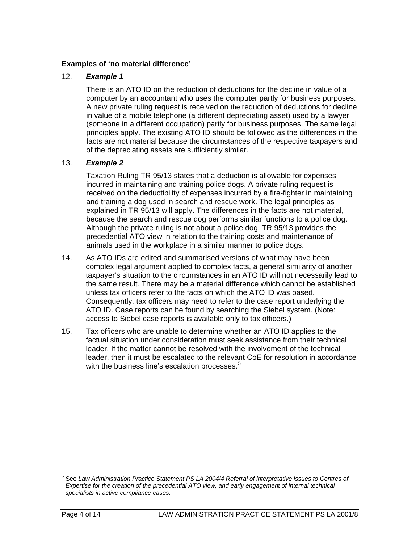#### **Examples of 'no material difference'**

#### 12. *Example 1*

There is an ATO ID on the reduction of deductions for the decline in value of a computer by an accountant who uses the computer partly for business purposes. A new private ruling request is received on the reduction of deductions for decline in value of a mobile telephone (a different depreciating asset) used by a lawyer (someone in a different occupation) partly for business purposes. The same legal principles apply. The existing ATO ID should be followed as the differences in the facts are not material because the circumstances of the respective taxpayers and of the depreciating assets are sufficiently similar.

#### 13. *Example 2*

Taxation Ruling TR 95/13 states that a deduction is allowable for expenses incurred in maintaining and training police dogs. A private ruling request is received on the deductibility of expenses incurred by a fire-fighter in maintaining and training a dog used in search and rescue work. The legal principles as explained in TR 95/13 will apply. The differences in the facts are not material, because the search and rescue dog performs similar functions to a police dog. Although the private ruling is not about a police dog, TR 95/13 provides the precedential ATO view in relation to the training costs and maintenance of animals used in the workplace in a similar manner to police dogs.

- 14. As ATO IDs are edited and summarised versions of what may have been complex legal argument applied to complex facts, a general similarity of another taxpayer's situation to the circumstances in an ATO ID will not necessarily lead to the same result. There may be a material difference which cannot be established unless tax officers refer to the facts on which the ATO ID was based. Consequently, tax officers may need to refer to the case report underlying the ATO ID. Case reports can be found by searching the Siebel system. (Note: access to Siebel case reports is available only to tax officers.)
- 15. Tax officers who are unable to determine whether an ATO ID applies to the factual situation under consideration must seek assistance from their technical leader. If the matter cannot be resolved with the involvement of the technical leader, then it must be escalated to the relevant CoE for resolution in accordance with the business line's escalation processes.<sup>[5](#page-4-0)</sup>

<span id="page-4-0"></span> $\overline{a}$ 5 See *Law Administration Practice Statement PS LA 2004/4 Referral of interpretative issues to Centres of Expertise for the creation of the precedential ATO view, and early engagement of internal technical specialists in active compliance cases.*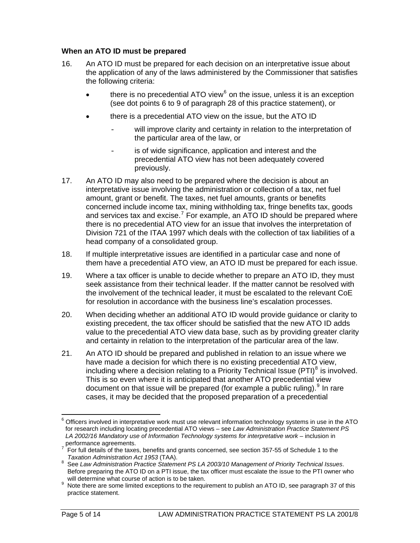#### **When an ATO ID must be prepared**

- 16. An ATO ID must be prepared for each decision on an interpretative issue about the application of any of the laws administered by the Commissioner that satisfies the following criteria:
	- there is no precedential ATO view<sup>[6](#page-5-0)</sup> on the issue, unless it is an exception (see dot points 6 to 9 of paragraph 28 of this practice statement), or
	- there is a precedential ATO view on the issue, but the ATO ID
		- will improve clarity and certainty in relation to the interpretation of the particular area of the law, or
		- is of wide significance, application and interest and the precedential ATO view has not been adequately covered previously.
- 17. An ATO ID may also need to be prepared where the decision is about an interpretative issue involving the administration or collection of a tax, net fuel amount, grant or benefit. The taxes, net fuel amounts, grants or benefits concerned include income tax, mining withholding tax, fringe benefits tax, goods and services tax and excise.<sup>[7](#page-5-1)</sup> For example, an ATO ID should be prepared where there is no precedential ATO view for an issue that involves the interpretation of Division 721 of the ITAA 1997 which deals with the collection of tax liabilities of a head company of a consolidated group.
- 18. If multiple interpretative issues are identified in a particular case and none of them have a precedential ATO view, an ATO ID must be prepared for each issue.
- 19. Where a tax officer is unable to decide whether to prepare an ATO ID, they must seek assistance from their technical leader. If the matter cannot be resolved with the involvement of the technical leader, it must be escalated to the relevant CoE for resolution in accordance with the business line's escalation processes.
- 20. When deciding whether an additional ATO ID would provide guidance or clarity to existing precedent, the tax officer should be satisfied that the new ATO ID adds value to the precedential ATO view data base, such as by providing greater clarity and certainty in relation to the interpretation of the particular area of the law.
- 21. An ATO ID should be prepared and published in relation to an issue where we have made a decision for which there is no existing precedential ATO view, including where a decision relating to a Priority Technical Issue (PTI) $^8$  $^8$  is involved. This is so even where it is anticipated that another ATO precedential view document on that issue will be prepared (for example a public ruling).  $9$  In rare cases, it may be decided that the proposed preparation of a precedential

<span id="page-5-0"></span> $\overline{a}$  $6$  Officers involved in interpretative work must use relevant information technology systems in use in the ATO for research including locating precedential ATO views – see *Law Administration Practice Statement PS LA 2002/16 Mandatory use of Information Technology systems for interpretative work* – inclusion in performance agreements.

<span id="page-5-1"></span>For full details of the taxes, benefits and grants concerned, see section 357-55 of Schedule 1 to the Taxation Administration Act 1953 (TAA).

<span id="page-5-2"></span>*Taxation Administration Act 1953* (TAA). 8 See *Law Administration Practice Statement PS LA 2003/10 Management of Priority Technical Issues*. Before preparing the ATO ID on a PTI issue, the tax officer must escalate the issue to the PTI owner who will determine what course of action is to be taken.

<span id="page-5-3"></span>will determine what course of action is to be taken.<br><sup>9</sup> Note there are some limited exceptions to the requirement to publish an ATO ID, see paragraph 37 of this practice statement.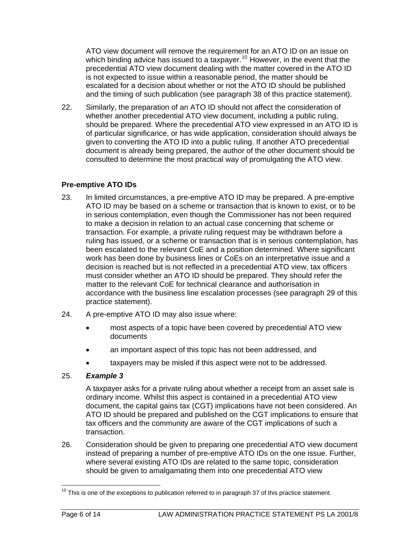ATO view document will remove the requirement for an ATO ID on an issue on which binding advice has issued to a taxpayer.<sup>10</sup> However, in the event that the precedential ATO view document dealing with the matter covered in the ATO ID is not expected to issue within a reasonable period, the matter should be escalated for a decision about whether or not the ATO ID should be published and the timing of such publication (see paragraph 38 of this practice statement).

22. Similarly, the preparation of an ATO ID should not affect the consideration of whether another precedential ATO view document, including a public ruling, should be prepared. Where the precedential ATO view expressed in an ATO ID is of particular significance, or has wide application, consideration should always be given to converting the ATO ID into a public ruling. If another ATO precedential document is already being prepared, the author of the other document should be consulted to determine the most practical way of promulgating the ATO view.

## **Pre-emptive ATO IDs**

- 23. In limited circumstances, a pre-emptive ATO ID may be prepared. A pre-emptive ATO ID may be based on a scheme or transaction that is known to exist, or to be in serious contemplation, even though the Commissioner has not been required to make a decision in relation to an actual case concerning that scheme or transaction. For example, a private ruling request may be withdrawn before a ruling has issued, or a scheme or transaction that is in serious contemplation, has been escalated to the relevant CoE and a position determined. Where significant work has been done by business lines or CoEs on an interpretative issue and a decision is reached but is not reflected in a precedential ATO view, tax officers must consider whether an ATO ID should be prepared. They should refer the matter to the relevant CoE for technical clearance and authorisation in accordance with the business line escalation processes (see paragraph 29 of this practice statement).
- 24. A pre-emptive ATO ID may also issue where:
	- most aspects of a topic have been covered by precedential ATO view documents
	- an important aspect of this topic has not been addressed, and
	- taxpayers may be misled if this aspect were not to be addressed.

## 25. *Example 3*

A taxpayer asks for a private ruling about whether a receipt from an asset sale is ordinary income. Whilst this aspect is contained in a precedential ATO view document, the capital gains tax (CGT) implications have not been considered. An ATO ID should be prepared and published on the CGT implications to ensure that tax officers and the community are aware of the CGT implications of such a transaction.

26. Consideration should be given to preparing one precedential ATO view document instead of preparing a number of pre-emptive ATO IDs on the one issue. Further, where several existing ATO IDs are related to the same topic, consideration should be given to amalgamating them into one precedential ATO view

 $\overline{a}$ 

 $10$  This is one of the exceptions to publication referred to in paragraph 37 of this practice statement.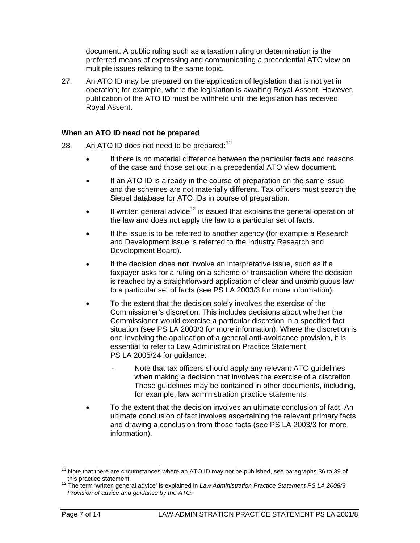document. A public ruling such as a taxation ruling or determination is the preferred means of expressing and communicating a precedential ATO view on multiple issues relating to the same topic.

27. An ATO ID may be prepared on the application of legislation that is not yet in operation; for example, where the legislation is awaiting Royal Assent. However, publication of the ATO ID must be withheld until the legislation has received Royal Assent.

#### **When an ATO ID need not be prepared**

- 28. An ATO ID does not need to be prepared: $11$ 
	- If there is no material difference between the particular facts and reasons of the case and those set out in a precedential ATO view document.
	- If an ATO ID is already in the course of preparation on the same issue and the schemes are not materially different. Tax officers must search the Siebel database for ATO IDs in course of preparation.
	- If written general advice<sup>[12](#page-7-1)</sup> is issued that explains the general operation of the law and does not apply the law to a particular set of facts.
	- If the issue is to be referred to another agency (for example a Research and Development issue is referred to the Industry Research and Development Board).
	- If the decision does **not** involve an interpretative issue, such as if a taxpayer asks for a ruling on a scheme or transaction where the decision is reached by a straightforward application of clear and unambiguous law to a particular set of facts (see PS LA 2003/3 for more information).
	- To the extent that the decision solely involves the exercise of the Commissioner's discretion. This includes decisions about whether the Commissioner would exercise a particular discretion in a specified fact situation (see PS LA 2003/3 for more information). Where the discretion is one involving the application of a general anti-avoidance provision, it is essential to refer to Law Administration Practice Statement PS LA 2005/24 for quidance.
		- Note that tax officers should apply any relevant ATO guidelines when making a decision that involves the exercise of a discretion. These guidelines may be contained in other documents, including, for example, law administration practice statements.
	- To the extent that the decision involves an ultimate conclusion of fact. An ultimate conclusion of fact involves ascertaining the relevant primary facts and drawing a conclusion from those facts (see PS LA 2003/3 for more information).

 $\overline{\phantom{a}}$ 

<span id="page-7-0"></span>Note that there are circumstances where an ATO ID may not be published, see paragraphs 36 to 39 of this practice statement.

<span id="page-7-1"></span>this practice statement. 12 The term 'written general advice' is explained in *Law Administration Practice Statement PS LA 2008/3 Provision of advice and guidance by the ATO*.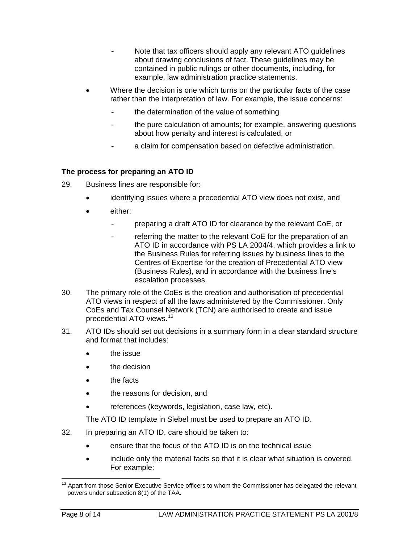- Note that tax officers should apply any relevant ATO quidelines about drawing conclusions of fact. These guidelines may be contained in public rulings or other documents, including, for example, law administration practice statements.
- Where the decision is one which turns on the particular facts of the case rather than the interpretation of law. For example, the issue concerns:
	- the determination of the value of something
	- the pure calculation of amounts; for example, answering questions about how penalty and interest is calculated, or
	- a claim for compensation based on defective administration.

## **The process for preparing an ATO ID**

- 29. Business lines are responsible for:
	- identifying issues where a precedential ATO view does not exist, and
	- either:
		- preparing a draft ATO ID for clearance by the relevant CoE, or
		- referring the matter to the relevant CoE for the preparation of an ATO ID in accordance with PS LA 2004/4, which provides a link to the Business Rules for referring issues by business lines to the Centres of Expertise for the creation of Precedential ATO view (Business Rules), and in accordance with the business line's escalation processes.
- 30. The primary role of the CoEs is the creation and authorisation of precedential ATO views in respect of all the laws administered by the Commissioner. Only CoEs and Tax Counsel Network (TCN) are authorised to create and issue precedential ATO views.<sup>[13](#page-8-0)</sup>
- 31. ATO IDs should set out decisions in a summary form in a clear standard structure and format that includes:
	- the issue
	- the decision
	- the facts
	- the reasons for decision, and
	- references (keywords, legislation, case law, etc).

The ATO ID template in Siebel must be used to prepare an ATO ID.

- 32. In preparing an ATO ID, care should be taken to:
	- ensure that the focus of the ATO ID is on the technical issue
	- include only the material facts so that it is clear what situation is covered. For example:

<span id="page-8-0"></span> $\overline{a}$ <sup>13</sup> Apart from those Senior Executive Service officers to whom the Commissioner has delegated the relevant powers under subsection 8(1) of the TAA.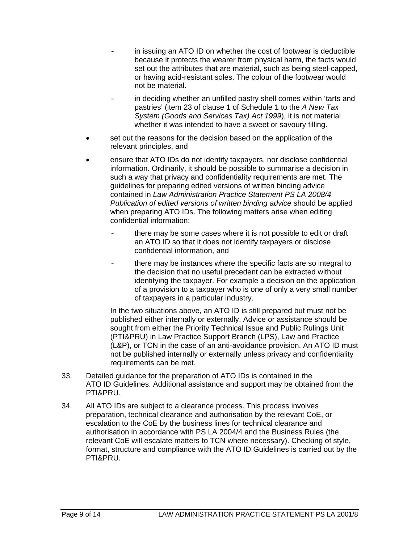- in issuing an ATO ID on whether the cost of footwear is deductible because it protects the wearer from physical harm, the facts would set out the attributes that are material, such as being steel-capped, or having acid-resistant soles. The colour of the footwear would not be material.
- in deciding whether an unfilled pastry shell comes within 'tarts and pastries' (item 23 of clause 1 of Schedule 1 to the *A New Tax System (Goods and Services Tax) Act 1999*), it is not material whether it was intended to have a sweet or savoury filling.
- set out the reasons for the decision based on the application of the relevant principles, and
- ensure that ATO IDs do not identify taxpayers, nor disclose confidential information. Ordinarily, it should be possible to summarise a decision in such a way that privacy and confidentiality requirements are met. The guidelines for preparing edited versions of written binding advice contained in *Law Administration Practice Statement PS LA 2008/4 Publication of edited versions of written binding advice* should be applied when preparing ATO IDs. The following matters arise when editing confidential information:
	- there may be some cases where it is not possible to edit or draft an ATO ID so that it does not identify taxpayers or disclose confidential information, and
	- there may be instances where the specific facts are so integral to the decision that no useful precedent can be extracted without identifying the taxpayer. For example a decision on the application of a provision to a taxpayer who is one of only a very small number of taxpayers in a particular industry.

In the two situations above, an ATO ID is still prepared but must not be published either internally or externally. Advice or assistance should be sought from either the Priority Technical Issue and Public Rulings Unit (PTI&PRU) in Law Practice Support Branch (LPS), Law and Practice (L&P), or TCN in the case of an anti-avoidance provision. An ATO ID must not be published internally or externally unless privacy and confidentiality requirements can be met.

- 33. Detailed guidance for the preparation of ATO IDs is contained in the ATO ID Guidelines. Additional assistance and support may be obtained from the PTI&PRU.
- 34. All ATO IDs are subject to a clearance process. This process involves preparation, technical clearance and authorisation by the relevant CoE, or escalation to the CoE by the business lines for technical clearance and authorisation in accordance with PS LA 2004/4 and the Business Rules (the relevant CoE will escalate matters to TCN where necessary). Checking of style, format, structure and compliance with the ATO ID Guidelines is carried out by the PTI&PRU.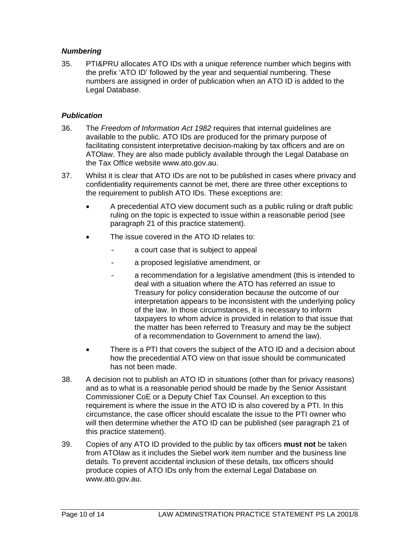#### *Numbering*

35. PTI&PRU allocates ATO IDs with a unique reference number which begins with the prefix 'ATO ID' followed by the year and sequential numbering. These numbers are assigned in order of publication when an ATO ID is added to the Legal Database.

#### *Publication*

- 36. The *Freedom of Information Act 1982* requires that internal guidelines are available to the public. ATO IDs are produced for the primary purpose of facilitating consistent interpretative decision-making by tax officers and are on ATOlaw. They are also made publicly available through the Legal Database on the Tax Office website www.ato.gov.au.
- 37. Whilst it is clear that ATO IDs are not to be published in cases where privacy and confidentiality requirements cannot be met, there are three other exceptions to the requirement to publish ATO IDs. These exceptions are:
	- A precedential ATO view document such as a public ruling or draft public ruling on the topic is expected to issue within a reasonable period (see paragraph 21 of this practice statement).
	- The issue covered in the ATO ID relates to:
		- a court case that is subject to appeal
		- a proposed legislative amendment, or
		- a recommendation for a legislative amendment (this is intended to deal with a situation where the ATO has referred an issue to Treasury for policy consideration because the outcome of our interpretation appears to be inconsistent with the underlying policy of the law. In those circumstances, it is necessary to inform taxpayers to whom advice is provided in relation to that issue that the matter has been referred to Treasury and may be the subject of a recommendation to Government to amend the law).
	- There is a PTI that covers the subject of the ATO ID and a decision about how the precedential ATO view on that issue should be communicated has not been made.
- 38. A decision not to publish an ATO ID in situations (other than for privacy reasons) and as to what is a reasonable period should be made by the Senior Assistant Commissioner CoE or a Deputy Chief Tax Counsel. An exception to this requirement is where the issue in the ATO ID is also covered by a PTI. In this circumstance, the case officer should escalate the issue to the PTI owner who will then determine whether the ATO ID can be published (see paragraph 21 of this practice statement).
- 39. Copies of any ATO ID provided to the public by tax officers **must not** be taken from ATOlaw as it includes the Siebel work item number and the business line details. To prevent accidental inclusion of these details, tax officers should produce copies of ATO IDs only from the external Legal Database on www.ato.gov.au.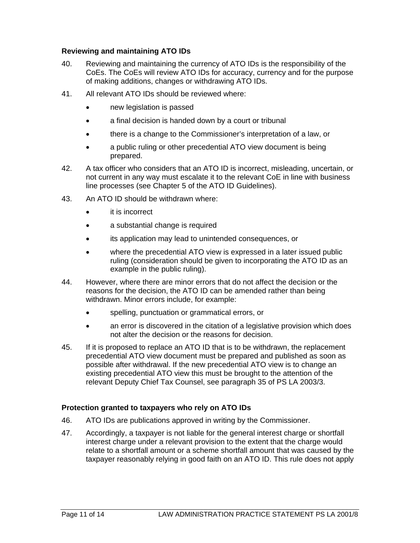#### **Reviewing and maintaining ATO IDs**

- 40. Reviewing and maintaining the currency of ATO IDs is the responsibility of the CoEs. The CoEs will review ATO IDs for accuracy, currency and for the purpose of making additions, changes or withdrawing ATO IDs.
- 41. All relevant ATO IDs should be reviewed where:
	- new legislation is passed
	- a final decision is handed down by a court or tribunal
	- there is a change to the Commissioner's interpretation of a law, or
	- a public ruling or other precedential ATO view document is being prepared.
- 42. A tax officer who considers that an ATO ID is incorrect, misleading, uncertain, or not current in any way must escalate it to the relevant CoE in line with business line processes (see Chapter 5 of the ATO ID Guidelines).
- 43. An ATO ID should be withdrawn where:
	- it is incorrect
	- a substantial change is required
	- its application may lead to unintended consequences, or
	- where the precedential ATO view is expressed in a later issued public ruling (consideration should be given to incorporating the ATO ID as an example in the public ruling).
- 44. However, where there are minor errors that do not affect the decision or the reasons for the decision, the ATO ID can be amended rather than being withdrawn. Minor errors include, for example:
	- spelling, punctuation or grammatical errors, or
	- an error is discovered in the citation of a legislative provision which does not alter the decision or the reasons for decision.
- 45. If it is proposed to replace an ATO ID that is to be withdrawn, the replacement precedential ATO view document must be prepared and published as soon as possible after withdrawal. If the new precedential ATO view is to change an existing precedential ATO view this must be brought to the attention of the relevant Deputy Chief Tax Counsel, see paragraph 35 of PS LA 2003/3.

## **Protection granted to taxpayers who rely on ATO IDs**

- 46. ATO IDs are publications approved in writing by the Commissioner.
- 47. Accordingly, a taxpayer is not liable for the general interest charge or shortfall interest charge under a relevant provision to the extent that the charge would relate to a shortfall amount or a scheme shortfall amount that was caused by the taxpayer reasonably relying in good faith on an ATO ID. This rule does not apply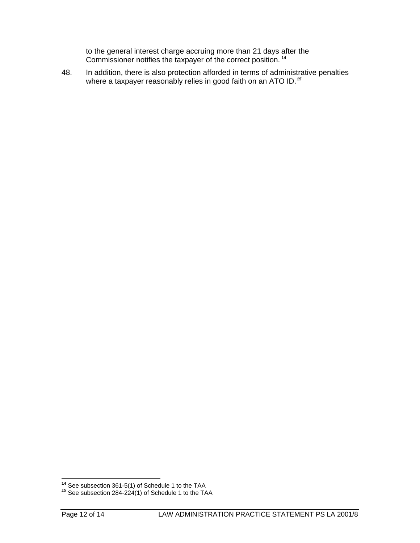to the general interest charge accruing more than 21 days after the Commissioner notifies the taxpayer of the correct position. **<sup>14</sup>**

48. In addition, there is also protection afforded in terms of administrative penalties where a taxpayer reasonably relies in good faith on an ATO ID.*[15](#page-12-0)*

 $\overline{a}$ 

<span id="page-12-0"></span>**<sup>14</sup>** See subsection 361-5(1) of Schedule 1 to the TAA *<sup>15</sup>* See subsection 284-224(1) of Schedule 1 to the TAA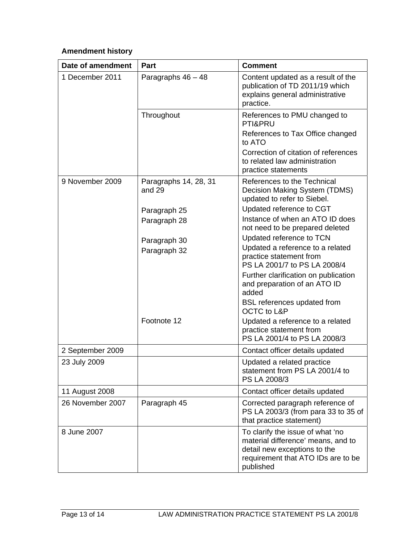## **Amendment history**

| Date of amendment | Part                            | <b>Comment</b>                                                                                                                                            |
|-------------------|---------------------------------|-----------------------------------------------------------------------------------------------------------------------------------------------------------|
| 1 December 2011   | Paragraphs 46 - 48              | Content updated as a result of the<br>publication of TD 2011/19 which<br>explains general administrative<br>practice.                                     |
|                   | Throughout                      | References to PMU changed to<br>PTI&PRU                                                                                                                   |
|                   |                                 | References to Tax Office changed<br>to ATO                                                                                                                |
|                   |                                 | Correction of citation of references<br>to related law administration<br>practice statements                                                              |
| 9 November 2009   | Paragraphs 14, 28, 31<br>and 29 | References to the Technical<br>Decision Making System (TDMS)<br>updated to refer to Siebel.                                                               |
|                   | Paragraph 25                    | Updated reference to CGT                                                                                                                                  |
|                   | Paragraph 28                    | Instance of when an ATO ID does<br>not need to be prepared deleted                                                                                        |
|                   | Paragraph 30                    | Updated reference to TCN                                                                                                                                  |
|                   | Paragraph 32                    | Updated a reference to a related<br>practice statement from<br>PS LA 2001/7 to PS LA 2008/4                                                               |
|                   |                                 | Further clarification on publication<br>and preparation of an ATO ID<br>added                                                                             |
|                   |                                 | BSL references updated from<br><b>OCTC</b> to L&P                                                                                                         |
|                   | Footnote 12                     | Updated a reference to a related<br>practice statement from<br>PS LA 2001/4 to PS LA 2008/3                                                               |
| 2 September 2009  |                                 | Contact officer details updated                                                                                                                           |
| 23 July 2009      |                                 | Updated a related practice<br>statement from PS LA 2001/4 to<br>PS LA 2008/3                                                                              |
| 11 August 2008    |                                 | Contact officer details updated                                                                                                                           |
| 26 November 2007  | Paragraph 45                    | Corrected paragraph reference of<br>PS LA 2003/3 (from para 33 to 35 of<br>that practice statement)                                                       |
| 8 June 2007       |                                 | To clarify the issue of what 'no<br>material difference' means, and to<br>detail new exceptions to the<br>requirement that ATO IDs are to be<br>published |